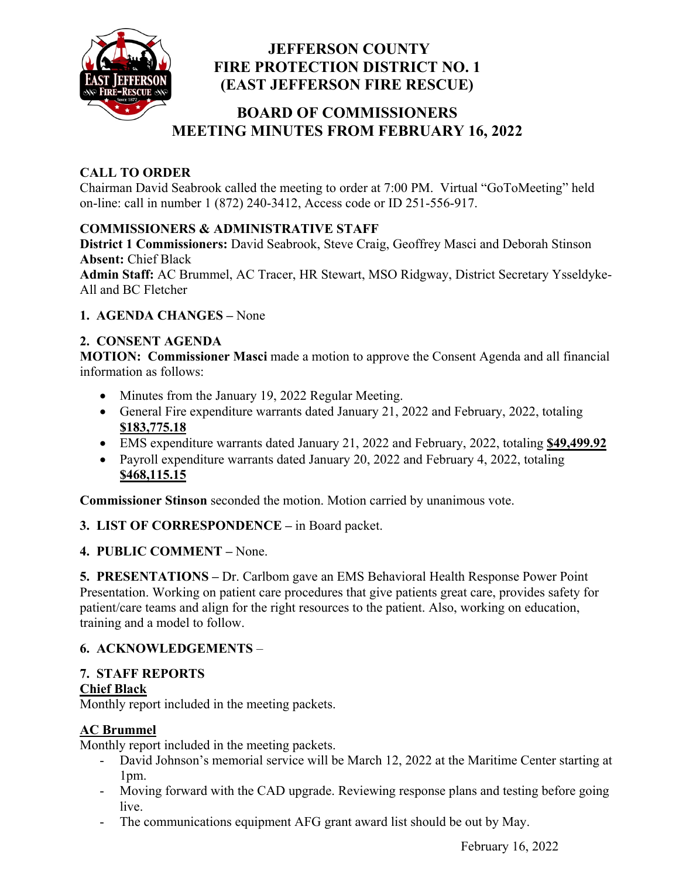

## **JEFFERSON COUNTY FIRE PROTECTION DISTRICT NO. 1 (EAST JEFFERSON FIRE RESCUE)**

# **BOARD OF COMMISSIONERS MEETING MINUTES FROM FEBRUARY 16, 2022**

## **CALL TO ORDER**

Chairman David Seabrook called the meeting to order at 7:00 PM. Virtual "GoToMeeting" held on-line: call in number 1 (872) 240-3412, Access code or ID 251-556-917.

## **COMMISSIONERS & ADMINISTRATIVE STAFF**

**District 1 Commissioners:** David Seabrook, Steve Craig, Geoffrey Masci and Deborah Stinson **Absent:** Chief Black

**Admin Staff:** AC Brummel, AC Tracer, HR Stewart, MSO Ridgway, District Secretary Ysseldyke-All and BC Fletcher

#### **1. AGENDA CHANGES –** None

#### **2. CONSENT AGENDA**

**MOTION: Commissioner Masci** made a motion to approve the Consent Agenda and all financial information as follows:

- Minutes from the January 19, 2022 Regular Meeting.
- General Fire expenditure warrants dated January 21, 2022 and February, 2022, totaling **\$183,775.18**
- EMS expenditure warrants dated January 21, 2022 and February, 2022, totaling **\$49,499.92**
- Payroll expenditure warrants dated January 20, 2022 and February 4, 2022, totaling **\$468,115.15**

**Commissioner Stinson** seconded the motion. Motion carried by unanimous vote.

#### **3. LIST OF CORRESPONDENCE –** in Board packet.

#### **4. PUBLIC COMMENT –** None.

**5. PRESENTATIONS –** Dr. Carlbom gave an EMS Behavioral Health Response Power Point Presentation. Working on patient care procedures that give patients great care, provides safety for patient/care teams and align for the right resources to the patient. Also, working on education, training and a model to follow.

#### **6. ACKNOWLEDGEMENTS** –

#### **7. STAFF REPORTS**

#### **Chief Black**

Monthly report included in the meeting packets.

# **AC Brummel**

Monthly report included in the meeting packets.

- David Johnson's memorial service will be March 12, 2022 at the Maritime Center starting at 1pm.
- Moving forward with the CAD upgrade. Reviewing response plans and testing before going live.
- The communications equipment AFG grant award list should be out by May.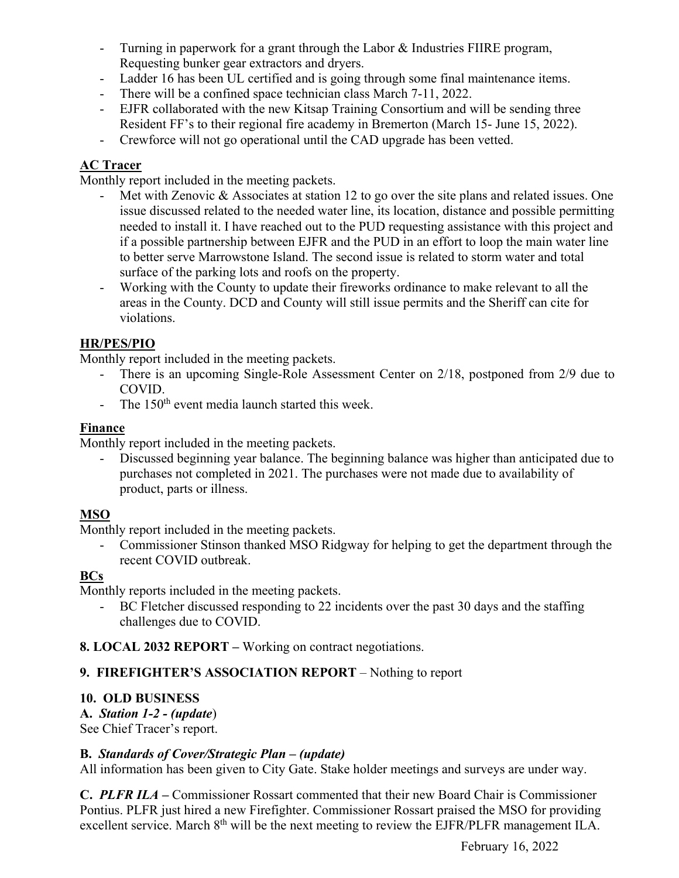- Turning in paperwork for a grant through the Labor & Industries FIIRE program, Requesting bunker gear extractors and dryers.
- Ladder 16 has been UL certified and is going through some final maintenance items.
- There will be a confined space technician class March 7-11, 2022.
- EJFR collaborated with the new Kitsap Training Consortium and will be sending three Resident FF's to their regional fire academy in Bremerton (March 15- June 15, 2022).
- Crewforce will not go operational until the CAD upgrade has been vetted.

#### **AC Tracer**

Monthly report included in the meeting packets.

- Met with Zenovic & Associates at station 12 to go over the site plans and related issues. One issue discussed related to the needed water line, its location, distance and possible permitting needed to install it. I have reached out to the PUD requesting assistance with this project and if a possible partnership between EJFR and the PUD in an effort to loop the main water line to better serve Marrowstone Island. The second issue is related to storm water and total surface of the parking lots and roofs on the property.
- Working with the County to update their fireworks ordinance to make relevant to all the areas in the County. DCD and County will still issue permits and the Sheriff can cite for violations.

#### **HR/PES/PIO**

Monthly report included in the meeting packets.

- There is an upcoming Single-Role Assessment Center on 2/18, postponed from 2/9 due to COVID.
- The  $150<sup>th</sup>$  event media launch started this week.

#### **Finance**

Monthly report included in the meeting packets.

- Discussed beginning year balance. The beginning balance was higher than anticipated due to purchases not completed in 2021. The purchases were not made due to availability of product, parts or illness.

## **MSO**

Monthly report included in the meeting packets.

- Commissioner Stinson thanked MSO Ridgway for helping to get the department through the recent COVID outbreak.

#### **BCs**

Monthly reports included in the meeting packets.

BC Fletcher discussed responding to 22 incidents over the past 30 days and the staffing challenges due to COVID.

#### **8. LOCAL 2032 REPORT –** Working on contract negotiations.

## **9. FIREFIGHTER'S ASSOCIATION REPORT** – Nothing to report

## **10. OLD BUSINESS**

**A.** *Station 1-2 - (update*)

See Chief Tracer's report.

#### **B.** *Standards of Cover/Strategic Plan – (update)*

All information has been given to City Gate. Stake holder meetings and surveys are under way.

**C.** *PLFR ILA –* Commissioner Rossart commented that their new Board Chair is Commissioner Pontius. PLFR just hired a new Firefighter. Commissioner Rossart praised the MSO for providing excellent service. March 8<sup>th</sup> will be the next meeting to review the EJFR/PLFR management ILA.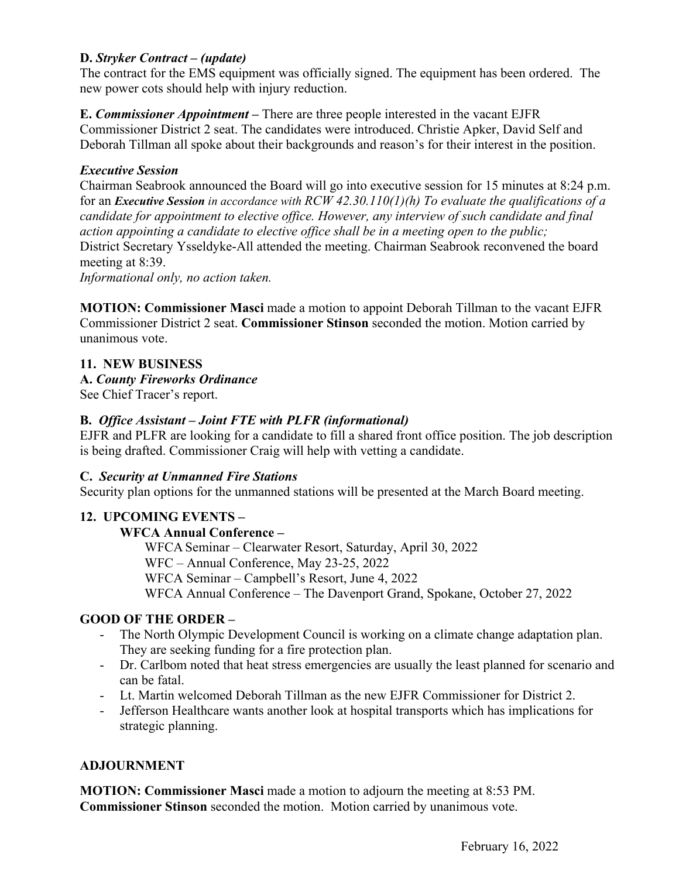#### **D.** *Stryker Contract – (update)*

The contract for the EMS equipment was officially signed. The equipment has been ordered. The new power cots should help with injury reduction.

**E.** *Commissioner Appointment –* There are three people interested in the vacant EJFR Commissioner District 2 seat. The candidates were introduced. Christie Apker, David Self and Deborah Tillman all spoke about their backgrounds and reason's for their interest in the position.

#### *Executive Session*

Chairman Seabrook announced the Board will go into executive session for 15 minutes at 8:24 p.m. for an *Executive Session in accordance with RCW 42.30.110(1)(h) To evaluate the qualifications of a candidate for appointment to elective office. However, any interview of such candidate and final action appointing a candidate to elective office shall be in a meeting open to the public;* District Secretary Ysseldyke-All attended the meeting. Chairman Seabrook reconvened the board meeting at 8:39.

*Informational only, no action taken.* 

**MOTION: Commissioner Masci** made a motion to appoint Deborah Tillman to the vacant EJFR Commissioner District 2 seat. **Commissioner Stinson** seconded the motion. Motion carried by unanimous vote.

#### **11. NEW BUSINESS**

#### **A.** *County Fireworks Ordinance*

See Chief Tracer's report.

#### **B.** *Office Assistant – Joint FTE with PLFR (informational)*

EJFR and PLFR are looking for a candidate to fill a shared front office position. The job description is being drafted. Commissioner Craig will help with vetting a candidate.

#### **C.** *Security at Unmanned Fire Stations*

Security plan options for the unmanned stations will be presented at the March Board meeting.

#### **12. UPCOMING EVENTS –**

#### **WFCA Annual Conference –**

 WFCA Seminar – Clearwater Resort, Saturday, April 30, 2022 WFC – Annual Conference, May 23-25, 2022 WFCA Seminar – Campbell's Resort, June 4, 2022 WFCA Annual Conference – The Davenport Grand, Spokane, October 27, 2022

#### **GOOD OF THE ORDER –**

- The North Olympic Development Council is working on a climate change adaptation plan. They are seeking funding for a fire protection plan.
- Dr. Carlbom noted that heat stress emergencies are usually the least planned for scenario and can be fatal.
- Lt. Martin welcomed Deborah Tillman as the new EJFR Commissioner for District 2.
- Jefferson Healthcare wants another look at hospital transports which has implications for strategic planning.

#### **ADJOURNMENT**

**MOTION: Commissioner Masci** made a motion to adjourn the meeting at 8:53 PM. **Commissioner Stinson** seconded the motion. Motion carried by unanimous vote.